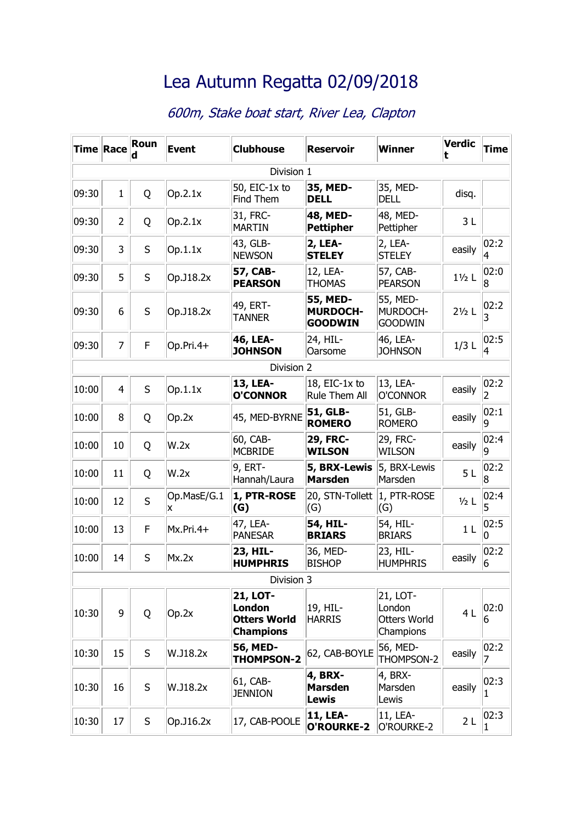## Lea Autumn Regatta 02/09/2018

## 600m, Stake boat start, River Lea, Clapton

| <b>Time Race</b> |                | Roun    | <b>Event</b>     | <b>Clubhouse</b>                                                            | <b>Reservoir</b>                              | Winner                                                 | <b>Verdic</b><br>t | <b>Time</b>            |  |
|------------------|----------------|---------|------------------|-----------------------------------------------------------------------------|-----------------------------------------------|--------------------------------------------------------|--------------------|------------------------|--|
| Division 1       |                |         |                  |                                                                             |                                               |                                                        |                    |                        |  |
| 09:30            | $\mathbf{1}$   | Q       | Op.2.1x          | 50, EIC-1x to<br>Find Them                                                  | 35, MED-<br><b>DELL</b>                       | 35, MED-<br><b>DELL</b>                                | disq.              |                        |  |
| 09:30            | $\overline{2}$ | Q       | Op.2.1x          | 31, FRC-<br><b>MARTIN</b>                                                   | 48, MED-<br><b>Pettipher</b>                  | 48, MED-<br>Pettipher                                  | 3L                 |                        |  |
| 09:30            | 3              | S       | Op.1.1x          | 43, GLB-<br><b>NEWSON</b>                                                   | <b>2, LEA-</b><br><b>STELEY</b>               | 2, LEA-<br><b>STELEY</b>                               | easily             | 02:2<br>4              |  |
| 09:30            | 5              | $\sf S$ | Op.J18.2x        | 57, CAB-<br><b>PEARSON</b>                                                  | 12, LEA-<br><b>THOMAS</b>                     | 57, CAB-<br><b>PEARSON</b>                             | $1\frac{1}{2}$ L   | 02:0<br>8              |  |
| 09:30            | 6              | S       | Op.J18.2x        | 49, ERT-<br><b>TANNER</b>                                                   | 55, MED-<br><b>MURDOCH-</b><br><b>GOODWIN</b> | 55, MED-<br>MURDOCH-<br><b>GOODWIN</b>                 | $2\frac{1}{2}$ L   | 02:2<br>3              |  |
| 09:30            | $\overline{7}$ | F       | Op.Pri.4+        | 46, LEA-<br><b>JOHNSON</b>                                                  | 24, HIL-<br>Oarsome                           | 46, LEA-<br><b>JOHNSON</b>                             | $1/3$ L            | 02:5<br>4              |  |
| Division 2       |                |         |                  |                                                                             |                                               |                                                        |                    |                        |  |
| 10:00            | 4              | S       | Op.1.1x          | 13, LEA-<br><b>O'CONNOR</b>                                                 | 18, EIC-1x to<br><b>Rule Them All</b>         | 13, LEA-<br>O'CONNOR                                   | easily             | 02:2<br>$\overline{2}$ |  |
| 10:00            | 8              | Q       | Op.2x            | 45, MED-BYRNE                                                               | 51, GLB-<br><b>ROMERO</b>                     | 51, GLB-<br><b>ROMERO</b>                              | easily             | 02:1<br>q              |  |
| 10:00            | 10             | Q       | W.2x             | 60, CAB-<br><b>MCBRIDE</b>                                                  | <b>29, FRC-</b><br><b>WILSON</b>              | 29, FRC-<br><b>WILSON</b>                              | easily             | 02:4<br>9              |  |
| 10:00            | 11             | Q       | W.2x             | 9, ERT-<br>Hannah/Laura                                                     | 5, BRX-Lewis<br><b>Marsden</b>                | 5, BRX-Lewis<br>Marsden                                | 5 <sub>L</sub>     | 02:2<br>8              |  |
| 10:00            | 12             | S       | Op.MasE/G.1<br>x | 1, PTR-ROSE<br>(G)                                                          | 20, STN-Tollett<br>(G)                        | 1, PTR-ROSE<br>(G)                                     | $1/2$ L            | 02:4<br>5              |  |
| 10:00            | 13             | F       | Mx.Pri.4+        | 47, LEA-<br><b>PANESAR</b>                                                  | 54, HIL-<br><b>BRIARS</b>                     | 54, HIL-<br><b>BRIARS</b>                              | 1 <sub>L</sub>     | 02:5<br>0              |  |
| 10:00            | 14             | S       | Mx.2x            | 23, HIL-<br><b>HUMPHRIS</b>                                                 | 36, MED-<br><b>BISHOP</b>                     | 23, HIL-<br><b>HUMPHRIS</b>                            | easily             | 02:2 <br>6             |  |
| Division 3       |                |         |                  |                                                                             |                                               |                                                        |                    |                        |  |
| 10:30            | 9              | Q       | Op.2x            | <b>21, LOT-</b><br><b>London</b><br><b>Otters World</b><br><b>Champions</b> | 19, HIL-<br><b>HARRIS</b>                     | 21, LOT-<br>London<br><b>Otters World</b><br>Champions | 4L                 | 02:0<br>6              |  |
| 10:30            | 15             | S       | W.J18.2x         | 56, MED-<br><b>THOMPSON-2</b>                                               | 62, CAB-BOYLE                                 | 56, MED-<br>THOMPSON-2                                 | easily             | 02:2<br>7              |  |
| 10:30            | 16             | S       | W.J18.2x         | 61, CAB-<br><b>JENNION</b>                                                  | 4, BRX-<br><b>Marsden</b><br><b>Lewis</b>     | 4, BRX-<br>Marsden<br>Lewis                            | easily             | 02:3<br>1              |  |
| 10:30            | 17             | S       | Op.J16.2x        | 17, CAB-POOLE                                                               | <b>11, LEA-</b><br>O'ROURKE-2                 | 11, LEA-<br>O'ROURKE-2                                 | 2L                 | 02:3<br>1              |  |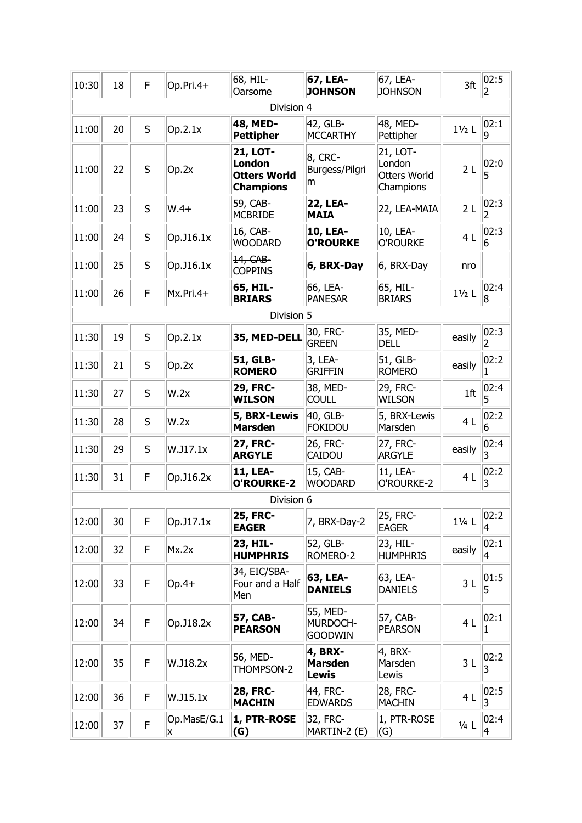| 10:30      | 18 | F       | Op.Pri.4+        | 68, HIL-<br>Oarsome                                                         | 67, LEA-<br><b>JOHNSON</b>                       | 67, LEA-<br><b>JOHNSON</b>                             | 3ft                | 02:5<br>2        |  |
|------------|----|---------|------------------|-----------------------------------------------------------------------------|--------------------------------------------------|--------------------------------------------------------|--------------------|------------------|--|
| Division 4 |    |         |                  |                                                                             |                                                  |                                                        |                    |                  |  |
| 11:00      | 20 | S       | Op.2.1x          | 48, MED-<br><b>Pettipher</b>                                                | 42, GLB-<br><b>MCCARTHY</b>                      | 48, MED-<br>Pettipher                                  | $1\frac{1}{2}$ L   | 02:1<br><b>g</b> |  |
| 11:00      | 22 | S       | Op.2x            | <b>21, LOT-</b><br><b>London</b><br><b>Otters World</b><br><b>Champions</b> | 8, CRC-<br>Burgess/Pilgri<br>m                   | 21, LOT-<br>London<br><b>Otters World</b><br>Champions | 2L                 | 02:0<br>5        |  |
| 11:00      | 23 | S       | $W.4+$           | 59, CAB-<br><b>MCBRIDE</b>                                                  | <b>22, LEA-</b><br><b>MAIA</b>                   | 22, LEA-MAIA                                           | 2L                 | 02:3<br>2        |  |
| 11:00      | 24 | S       | Op.J16.1x        | 16, CAB-<br><b>WOODARD</b>                                                  | <b>10, LEA-</b><br><b>O'ROURKE</b>               | 10, LEA-<br>O'ROURKE                                   | 4L                 | 02:3<br>6        |  |
| 11:00      | 25 | S       | Op.J16.1x        | 14, CAB-<br><b>COPPINS</b>                                                  | 6, BRX-Day                                       | 6, BRX-Day                                             | nro                |                  |  |
| 11:00      | 26 | F       | Mx.Pri.4+        | 65, HIL-<br><b>BRIARS</b>                                                   | 66, LEA-<br><b>PANESAR</b>                       | 65, HIL-<br><b>BRIARS</b>                              | $1\frac{1}{2}$ L   | 02:4 <br>8       |  |
| Division 5 |    |         |                  |                                                                             |                                                  |                                                        |                    |                  |  |
| 11:30      | 19 | S       | Op.2.1x          | 35, MED-DELL                                                                | 30, FRC-<br><b>GREEN</b>                         | 35, MED-<br><b>DELL</b>                                | easily             | 02:3<br>2        |  |
| 11:30      | 21 | $\sf S$ | Op.2x            | 51, GLB-<br><b>ROMERO</b>                                                   | 3, LEA-<br><b>GRIFFIN</b>                        | 51, GLB-<br><b>ROMERO</b>                              | easily             | 02:2<br>1        |  |
| 11:30      | 27 | S       | W.2x             | <b>29, FRC-</b><br><b>WILSON</b>                                            | 38, MED-<br><b>COULL</b>                         | 29, FRC-<br><b>WILSON</b>                              | 1ft                | 02:4 <br>5       |  |
| 11:30      | 28 | S       | W.2x             | 5, BRX-Lewis<br><b>Marsden</b>                                              | 40, GLB-<br><b>FOKIDOU</b>                       | 5, BRX-Lewis<br>Marsden                                | 4 <sub>L</sub>     | 02:2 <br>6       |  |
| 11:30      | 29 | S       | W.J17.1x         | <b>27, FRC-</b><br><b>ARGYLE</b>                                            | 26, FRC-<br><b>CAIDOU</b>                        | 27, FRC-<br><b>ARGYLE</b>                              | easily             | 02:4<br>3        |  |
| 11:30      | 31 | F       | Op.J16.2x        | <b>11, LEA-</b><br><b>O'ROURKE-2</b>                                        | 15, CAB-<br><b>WOODARD</b>                       | 11, LEA-<br>O'ROURKE-2                                 | 4 L                | 02:2 <br>3       |  |
|            |    |         |                  | Division 6                                                                  |                                                  |                                                        |                    |                  |  |
| 12:00      | 30 | F       | Op.J17.1x        | <b>25, FRC-</b><br><b>EAGER</b>                                             | 7, BRX-Day-2                                     | 25, FRC-<br><b>EAGER</b>                               | 11/ <sub>4</sub> L | 02:2 <br>4       |  |
| 12:00      | 32 | F       | Mx.2x            | 23, HIL-<br><b>HUMPHRIS</b>                                                 | 52, GLB-<br>ROMERO-2                             | 23, HIL-<br><b>HUMPHRIS</b>                            | easily             | 02:1<br>4        |  |
| 12:00      | 33 | F       | $Op.4+$          | 34, EIC/SBA-<br>Four and a Half<br>Men                                      | 63, LEA-<br><b>DANIELS</b>                       | 63, LEA-<br><b>DANIELS</b>                             | 3L                 | 01:5 <br>5       |  |
| 12:00      | 34 | F       | Op.J18.2x        | 57, CAB-<br><b>PEARSON</b>                                                  | 55, MED-<br>MURDOCH-<br><b>GOODWIN</b>           | 57, CAB-<br><b>PEARSON</b>                             | 4L                 | 02:1<br>1        |  |
| 12:00      | 35 | F       | W.J18.2x         | 56, MED-<br>THOMPSON-2                                                      | <b>4, BRX-</b><br><b>Marsden</b><br><b>Lewis</b> | 4, BRX-<br>Marsden<br>Lewis                            | 3L                 | 02:2<br>3        |  |
| 12:00      | 36 | F       | W.J15.1x         | <b>28, FRC-</b><br><b>MACHIN</b>                                            | 44, FRC-<br><b>EDWARDS</b>                       | 28, FRC-<br><b>MACHIN</b>                              | 4L                 | 02:5 <br>3       |  |
| 12:00      | 37 | F.      | Op.MasE/G.1<br>x | 1, PTR-ROSE<br>(G)                                                          | 32, FRC-<br>MARTIN-2 (E)                         | 1, PTR-ROSE<br>(G)                                     | $1/4$ L            | 02:4<br>4        |  |